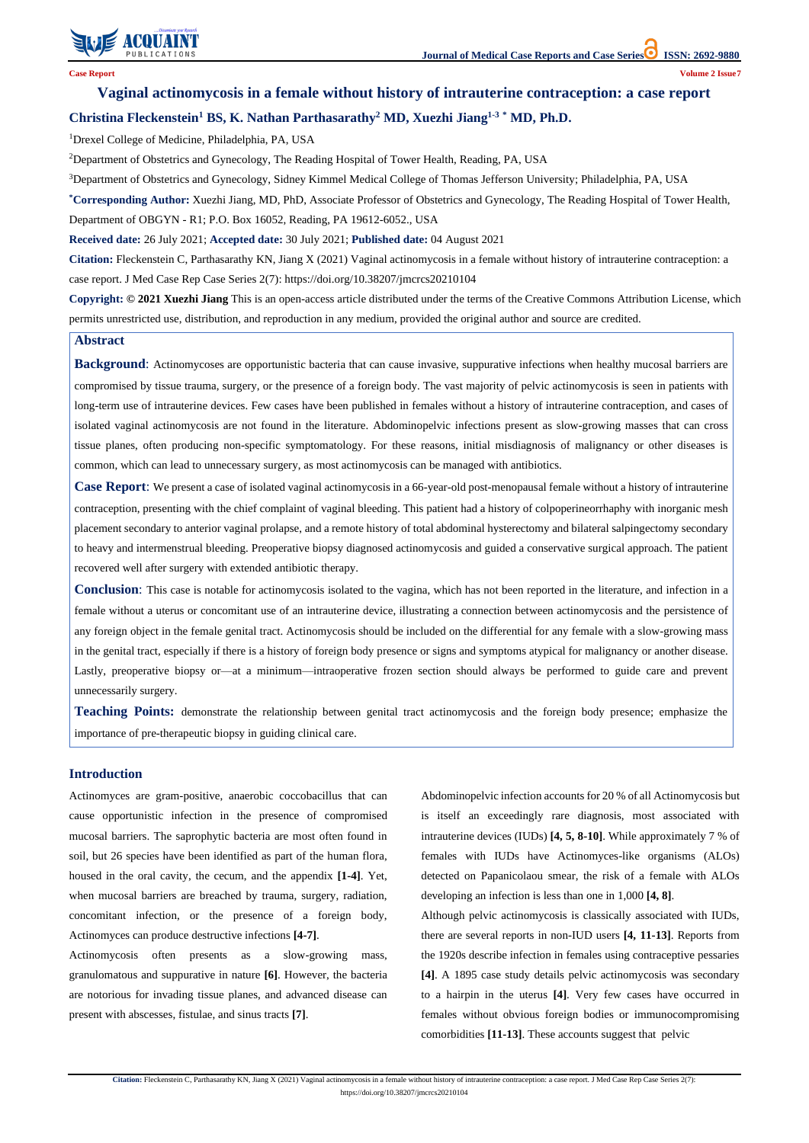

**Citation:** Fleckenstein C, Parthasarathy KN, Jiang X (2021) Vaginal actinomycosis in a female without history of intrauterine contraception: a case report. J Med Case Rep Case Series 2(7): https://doi.org/10.38207/jmcrcs20210104

# **Vaginal actinomycosis in a female without history of intrauterine contraception: a case report Christina Fleckenstein<sup>1</sup> BS, K. Nathan Parthasarathy<sup>2</sup> MD, Xuezhi Jiang1-3 \* MD, Ph.D.**

<sup>1</sup>Drexel College of Medicine, Philadelphia, PA, USA

<sup>2</sup>Department of Obstetrics and Gynecology, The Reading Hospital of Tower Health, Reading, PA, USA

<sup>3</sup>Department of Obstetrics and Gynecology, Sidney Kimmel Medical College of Thomas Jefferson University; Philadelphia, PA, USA

**\*Corresponding Author:** Xuezhi Jiang, MD, PhD, Associate Professor of Obstetrics and Gynecology, The Reading Hospital of Tower Health, Department of OBGYN - R1; P.O. Box 16052, Reading, PA 19612-6052., USA

**Received date:** 26 July 2021; **Accepted date:** 30 July 2021; **Published date:** 04 August 2021

**Citation:** Fleckenstein C, Parthasarathy KN, Jiang X (2021) Vaginal actinomycosis in a female without history of intrauterine contraception: a case report. J Med Case Rep Case Series 2(7): https://doi.org/10.38207/jmcrcs20210104

**Copyright: © 2021 Xuezhi Jiang** This is an open-access article distributed under the terms of the Creative Commons Attribution License, which permits unrestricted use, distribution, and reproduction in any medium, provided the original author and source are credited.

# **Introduction**

Actinomyces are gram-positive, anaerobic coccobacillus that can cause opportunistic infection in the presence of compromised mucosal barriers. The saprophytic bacteria are most often found in soil, but 26 species have been identified as part of the human flora,

housed in the oral cavity, the cecum, and the appendix **[1-4]**. Yet, when mucosal barriers are breached by trauma, surgery, radiation, concomitant infection, or the presence of a foreign body, Actinomyces can produce destructive infections **[4-7]**. Actinomycosis often presents as a slow-growing mass, granulomatous and suppurative in nature **[6]**. However, the bacteria are notorious for invading tissue planes, and advanced disease can present with abscesses, fistulae, and sinus tracts **[7]**.

Abdominopelvic infection accounts for 20 % of all Actinomycosis but is itself an exceedingly rare diagnosis, most associated with intrauterine devices (IUDs) **[4, 5, 8-10]**. While approximately 7 % of females with IUDs have Actinomyces-like organisms (ALOs)

detected on Papanicolaou smear, the risk of a female with ALOs developing an infection is less than one in 1,000 **[4, 8]**. Although pelvic actinomycosis is classically associated with IUDs, there are several reports in non-IUD users **[4, 11-13]**. Reports from the 1920s describe infection in females using contraceptive pessaries **[4]**. A 1895 case study details pelvic actinomycosis was secondary to a hairpin in the uterus **[4]**. Very few cases have occurred in females without obvious foreign bodies or immunocompromising comorbidities **[11-13]**. These accounts suggest that pelvic

#### **Abstract**

**Background**: Actinomycoses are opportunistic bacteria that can cause invasive, suppurative infections when healthy mucosal barriers are compromised by tissue trauma, surgery, or the presence of a foreign body. The vast majority of pelvic actinomycosis is seen in patients with long-term use of intrauterine devices. Few cases have been published in females without a history of intrauterine contraception, and cases of isolated vaginal actinomycosis are not found in the literature. Abdominopelvic infections present as slow-growing masses that can cross tissue planes, often producing non-specific symptomatology. For these reasons, initial misdiagnosis of malignancy or other diseases is common, which can lead to unnecessary surgery, as most actinomycosis can be managed with antibiotics.

**Case Report**: We present a case of isolated vaginal actinomycosis in a 66-year-old post-menopausal female without a history of intrauterine contraception, presenting with the chief complaint of vaginal bleeding. This patient had a history of colpoperineorrhaphy with inorganic mesh placement secondary to anterior vaginal prolapse, and a remote history of total abdominal hysterectomy and bilateral salpingectomy secondary to heavy and intermenstrual bleeding. Preoperative biopsy diagnosed actinomycosis and guided a conservative surgical approach. The patient recovered well after surgery with extended antibiotic therapy.

**Conclusion**: This case is notable for actinomycosis isolated to the vagina, which has not been reported in the literature, and infection in a female without a uterus or concomitant use of an intrauterine device, illustrating a connection between actinomycosis and the persistence of any foreign object in the female genital tract. Actinomycosis should be included on the differential for any female with a slow-growing mass in the genital tract, especially if there is a history of foreign body presence or signs and symptoms atypical for malignancy or another disease. Lastly, preoperative biopsy or—at a minimum—intraoperative frozen section should always be performed to guide care and prevent unnecessarily surgery.

**Teaching Points:** demonstrate the relationship between genital tract actinomycosis and the foreign body presence; emphasize the importance of pre-therapeutic biopsy in guiding clinical care.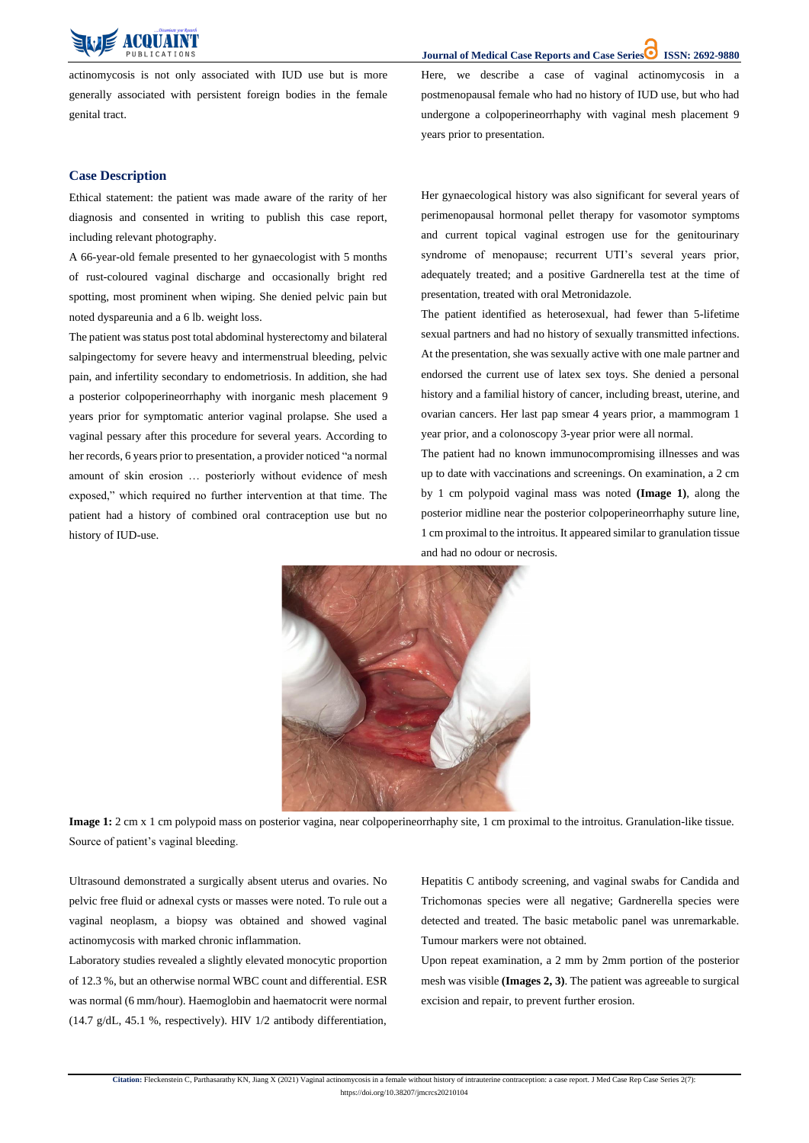**Journal of Medical Case Reports and Case Series ISSN: 2692-9880**

**Citation:** Fleckenstein C, Parthasarathy KN, Jiang X (2021) Vaginal actinomycosis in a female without history of intrauterine contraception: a case report. J Med Case Rep Case Series 2(7): https://doi.org/10.38207/jmcrcs20210104



actinomycosis is not only associated with IUD use but is more generally associated with persistent foreign bodies in the female genital tract.

Here, we describe a case of vaginal actinomycosis in a postmenopausal female who had no history of IUD use, but who had undergone a colpoperineorrhaphy with vaginal mesh placement 9 years prior to presentation.

### **Case Description**

Ethical statement: the patient was made aware of the rarity of her diagnosis and consented in writing to publish this case report, including relevant photography.

The patient was status post total abdominal hysterectomy and bilateral salpingectomy for severe heavy and intermenstrual bleeding, pelvic pain, and infertility secondary to endometriosis. In addition, she had a posterior colpoperineorrhaphy with inorganic mesh placement 9 years prior for symptomatic anterior vaginal prolapse. She used a vaginal pessary after this procedure for several years. According to her records, 6 years prior to presentation, a provider noticed "a normal amount of skin erosion … posteriorly without evidence of mesh exposed," which required no further intervention at that time. The patient had a history of combined oral contraception use but no history of IUD-use.

A 66-year-old female presented to her gynaecologist with 5 months of rust-coloured vaginal discharge and occasionally bright red spotting, most prominent when wiping. She denied pelvic pain but noted dyspareunia and a 6 lb. weight loss.

Her gynaecological history was also significant for several years of perimenopausal hormonal pellet therapy for vasomotor symptoms and current topical vaginal estrogen use for the genitourinary syndrome of menopause; recurrent UTI's several years prior, adequately treated; and a positive Gardnerella test at the time of presentation, treated with oral Metronidazole.

The patient identified as heterosexual, had fewer than 5-lifetime sexual partners and had no history of sexually transmitted infections. At the presentation, she was sexually active with one male partner and endorsed the current use of latex sex toys. She denied a personal history and a familial history of cancer, including breast, uterine, and ovarian cancers. Her last pap smear 4 years prior, a mammogram 1 year prior, and a colonoscopy 3-year prior were all normal.

The patient had no known immunocompromising illnesses and was up to date with vaccinations and screenings. On examination, a 2 cm by 1 cm polypoid vaginal mass was noted **(Image 1)**, along the posterior midline near the posterior colpoperineorrhaphy suture line, 1 cm proximal to the introitus. It appeared similar to granulation tissue and had no odour or necrosis.



**Image 1:** 2 cm x 1 cm polypoid mass on posterior vagina, near colpoperineorrhaphy site, 1 cm proximal to the introitus. Granulation-like tissue. Source of patient's vaginal bleeding.

Ultrasound demonstrated a surgically absent uterus and ovaries. No pelvic free fluid or adnexal cysts or masses were noted. To rule out a vaginal neoplasm, a biopsy was obtained and showed vaginal actinomycosis with marked chronic inflammation.

Laboratory studies revealed a slightly elevated monocytic proportion of 12.3 %, but an otherwise normal WBC count and differential. ESR was normal (6 mm/hour). Haemoglobin and haematocrit were normal (14.7 g/dL, 45.1 %, respectively). HIV 1/2 antibody differentiation,

Hepatitis C antibody screening, and vaginal swabs for Candida and Trichomonas species were all negative; Gardnerella species were detected and treated. The basic metabolic panel was unremarkable. Tumour markers were not obtained.

Upon repeat examination, a 2 mm by 2mm portion of the posterior mesh was visible **(Images 2, 3)**. The patient was agreeable to surgical excision and repair, to prevent further erosion.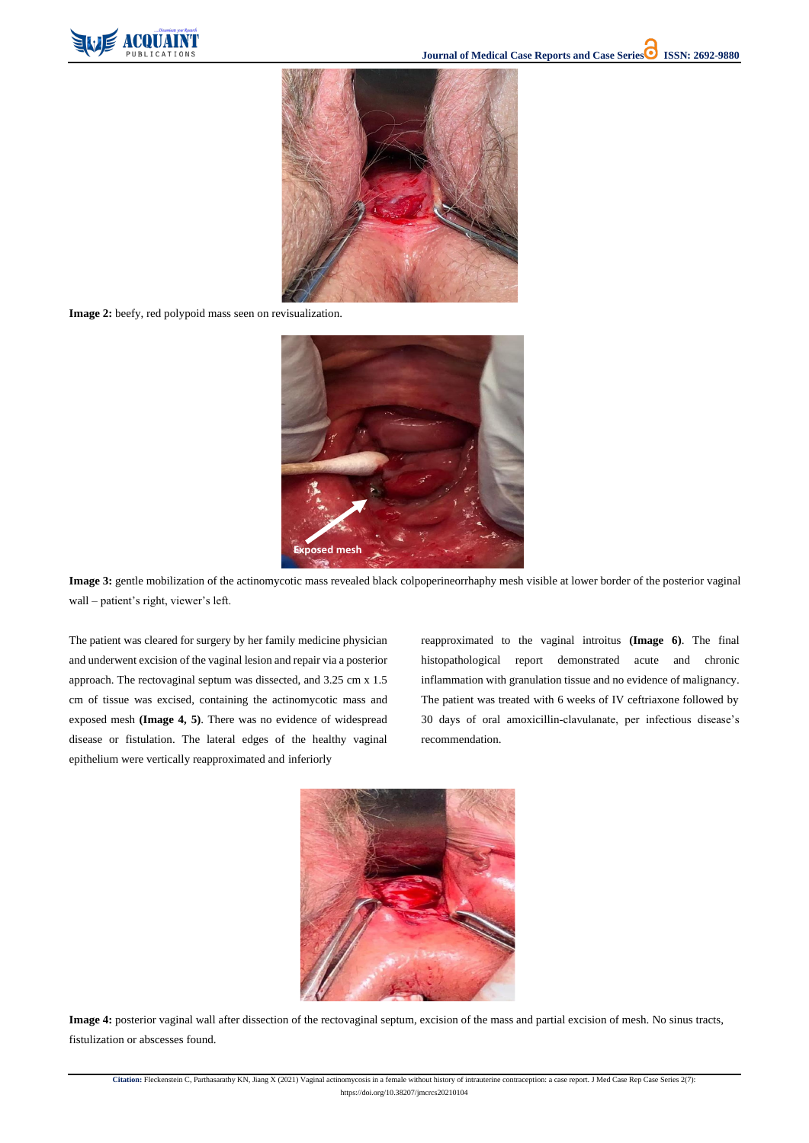

**Citation:** Fleckenstein C, Parthasarathy KN, Jiang X (2021) Vaginal actinomycosis in a female without history of intrauterine contraception: a case report. J Med Case Rep Case Series 2(7): https://doi.org/10.38207/jmcrcs20210104





**Image 2:** beefy, red polypoid mass seen on revisualization.

**Image 3:** gentle mobilization of the actinomycotic mass revealed black colpoperineorrhaphy mesh visible at lower border of the posterior vaginal wall – patient's right, viewer's left.

The patient was cleared for surgery by her family medicine physician and underwent excision of the vaginal lesion and repair via a posterior approach. The rectovaginal septum was dissected, and 3.25 cm x 1.5 cm of tissue was excised, containing the actinomycotic mass and exposed mesh **(Image 4, 5)**. There was no evidence of widespread disease or fistulation. The lateral edges of the healthy vaginal epithelium were vertically reapproximated and inferiorly

reapproximated to the vaginal introitus **(Image 6)**. The final histopathological report demonstrated acute and chronic inflammation with granulation tissue and no evidence of malignancy. The patient was treated with 6 weeks of IV ceftriaxone followed by 30 days of oral amoxicillin-clavulanate, per infectious disease's recommendation.



**Image 4:** posterior vaginal wall after dissection of the rectovaginal septum, excision of the mass and partial excision of mesh. No sinus tracts, fistulization or abscesses found.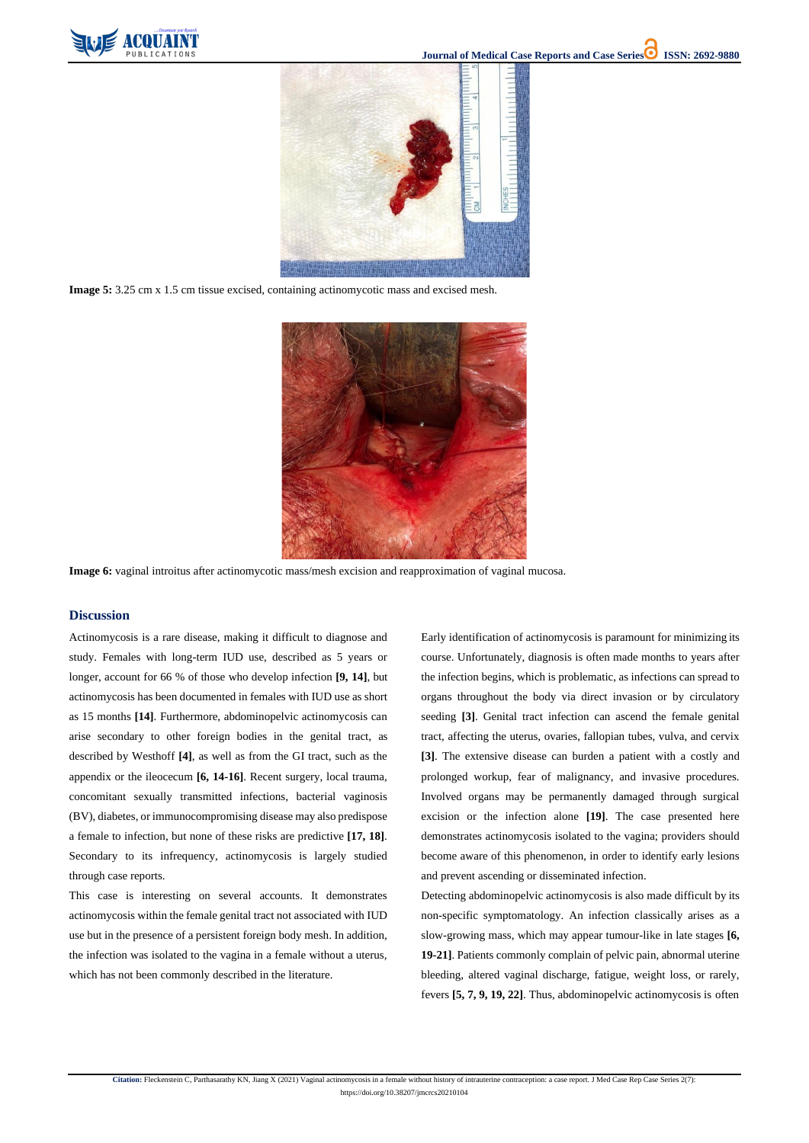

**Citation:** Fleckenstein C, Parthasarathy KN, Jiang X (2021) Vaginal actinomycosis in a female without history of intrauterine contraception: a case report. J Med Case Rep Case Series 2(7):

https://doi.org/10.38207/jmcrcs20210104



**Image 5:** 3.25 cm x 1.5 cm tissue excised, containing actinomycotic mass and excised mesh.



**Image 6:** vaginal introitus after actinomycotic mass/mesh excision and reapproximation of vaginal mucosa.

# **Discussion**

Actinomycosis is a rare disease, making it difficult to diagnose and study. Females with long-term IUD use, described as 5 years or longer, account for 66 % of those who develop infection **[9, 14]**, but actinomycosis has been documented in females with IUD use as short as 15 months **[14]**. Furthermore, abdominopelvic actinomycosis can arise secondary to other foreign bodies in the genital tract, as described by Westhoff **[4]**, as well as from the GI tract, such as the appendix or the ileocecum **[6, 14-16]**. Recent surgery, local trauma, concomitant sexually transmitted infections, bacterial vaginosis (BV), diabetes, or immunocompromising disease may also predispose a female to infection, but none of these risks are predictive **[17, 18]**. Secondary to its infrequency, actinomycosis is largely studied

through case reports.

This case is interesting on several accounts. It demonstrates actinomycosis within the female genital tract not associated with IUD use but in the presence of a persistent foreign body mesh. In addition, the infection was isolated to the vagina in a female without a uterus, which has not been commonly described in the literature.

Early identification of actinomycosis is paramount for minimizing its course. Unfortunately, diagnosis is often made months to years after the infection begins, which is problematic, as infections can spread to organs throughout the body via direct invasion or by circulatory seeding **[3]**. Genital tract infection can ascend the female genital tract, affecting the uterus, ovaries, fallopian tubes, vulva, and cervix **[3]**. The extensive disease can burden a patient with a costly and prolonged workup, fear of malignancy, and invasive procedures. Involved organs may be permanently damaged through surgical excision or the infection alone **[19]**. The case presented here demonstrates actinomycosis isolated to the vagina; providers should become aware of this phenomenon, in order to identify early lesions

and prevent ascending or disseminated infection.

Detecting abdominopelvic actinomycosis is also made difficult by its non-specific symptomatology. An infection classically arises as a slow-growing mass, which may appear tumour-like in late stages **[6, 19-21]**. Patients commonly complain of pelvic pain, abnormal uterine bleeding, altered vaginal discharge, fatigue, weight loss, or rarely, fevers **[5, 7, 9, 19, 22]**. Thus, abdominopelvic actinomycosis is often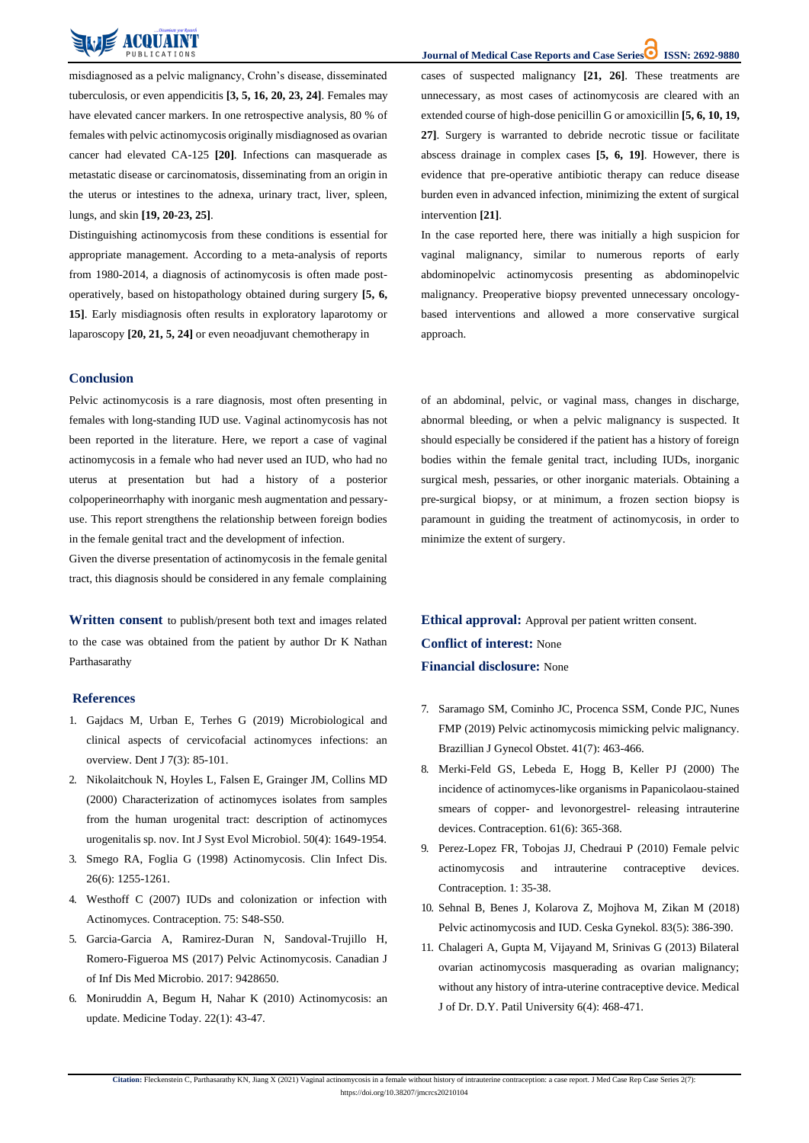**Citation:** Fleckenstein C, Parthasarathy KN, Jiang X (2021) Vaginal actinomycosis in a female without history of intrauterine contraception: a case report. J Med Case Rep Case Series 2(7): https://doi.org/10.38207/jmcrcs20210104



misdiagnosed as a pelvic malignancy, Crohn's disease, disseminated tuberculosis, or even appendicitis **[3, 5, 16, 20, 23, 24]**. Females may have elevated cancer markers. In one retrospective analysis, 80 % of females with pelvic actinomycosis originally misdiagnosed as ovarian cancer had elevated CA-125 **[20]**. Infections can masquerade as metastatic disease or carcinomatosis, disseminating from an origin in the uterus or intestines to the adnexa, urinary tract, liver, spleen, lungs, and skin **[19, 20-23, 25]**.

Distinguishing actinomycosis from these conditions is essential for appropriate management. According to a meta-analysis of reports from 1980-2014, a diagnosis of actinomycosis is often made postoperatively, based on histopathology obtained during surgery **[5, 6, 15]**. Early misdiagnosis often results in exploratory laparotomy or laparoscopy **[20, 21, 5, 24]** or even neoadjuvant chemotherapy in

cases of suspected malignancy **[21, 26]**. These treatments are unnecessary, as most cases of actinomycosis are cleared with an extended course of high-dose penicillin G or amoxicillin **[5, 6, 10, 19, 27]**. Surgery is warranted to debride necrotic tissue or facilitate abscess drainage in complex cases **[5, 6, 19]**. However, there is evidence that pre-operative antibiotic therapy can reduce disease burden even in advanced infection, minimizing the extent of surgical intervention **[21]**.

**Ethical approval:** Approval per patient written consent. **Conflict of interest:** None **Financial disclosure:** None

In the case reported here, there was initially a high suspicion for vaginal malignancy, similar to numerous reports of early abdominopelvic actinomycosis presenting as abdominopelvic malignancy. Preoperative biopsy prevented unnecessary oncologybased interventions and allowed a more conservative surgical approach.

#### **Conclusion**

Pelvic actinomycosis is a rare diagnosis, most often presenting in females with long-standing IUD use. Vaginal actinomycosis has not been reported in the literature. Here, we report a case of vaginal actinomycosis in a female who had never used an IUD, who had no uterus at presentation but had a history of a posterior colpoperineorrhaphy with inorganic mesh augmentation and pessaryuse. This report strengthens the relationship between foreign bodies in the female genital tract and the development of infection.

Given the diverse presentation of actinomycosis in the female genital tract, this diagnosis should be considered in any female complaining of an abdominal, pelvic, or vaginal mass, changes in discharge, abnormal bleeding, or when a pelvic malignancy is suspected. It should especially be considered if the patient has a history of foreign bodies within the female genital tract, including IUDs, inorganic surgical mesh, pessaries, or other inorganic materials. Obtaining a pre-surgical biopsy, or at minimum, a frozen section biopsy is paramount in guiding the treatment of actinomycosis, in order to minimize the extent of surgery.

**Written consent** to publish/present both text and images related to the case was obtained from the patient by author Dr K Nathan Parthasarathy

#### **References**

- 1. [Gajdacs M, Urban E, Terhes G \(2019\) Microbiological and](https://pubmed.ncbi.nlm.nih.gov/31480587/) [clinical aspects of cervicofacial actinomyces infections: an](https://pubmed.ncbi.nlm.nih.gov/31480587/) [overview. Dent J 7\(3\):](https://pubmed.ncbi.nlm.nih.gov/31480587/) 85-101.
- 2. [Nikolaitchouk N, Hoyles L, Falsen E, Grainger JM, Collins MD](https://pubmed.ncbi.nlm.nih.gov/10939672/) [\(2000\) Characterization of actinomyces isolates from samples](https://pubmed.ncbi.nlm.nih.gov/10939672/) [from the human urogenital tract: description of actinomyces](https://pubmed.ncbi.nlm.nih.gov/10939672/) [urogenitalis](https://pubmed.ncbi.nlm.nih.gov/10939672/) sp. nov. Int J Syst Evol Microbiol. 50(4): 1649-1954.
- 3. [Smego RA, Foglia G \(1998\) Actinomycosis. Clin Infect Dis.](https://pubmed.ncbi.nlm.nih.gov/9636842/)

**Journal of Medical Case Reports and Case Series<sup>1</sup> ISSN: 2692-9880** 

- 7. [Saramago SM, Cominho JC, Procenca SSM, Conde PJC, Nunes](https://pubmed.ncbi.nlm.nih.gov/31250417/) [FMP \(2019\) Pelvic actinomycosis mimicking pelvic malignancy.](https://pubmed.ncbi.nlm.nih.gov/31250417/) [Brazillian J Gynecol Obstet. 41\(7\):](https://pubmed.ncbi.nlm.nih.gov/31250417/) 463-466.
- 8. [Merki-Feld GS, Lebeda E, Hogg B, Keller PJ \(2000\) The](https://www.sciencedirect.com/science/article/abs/pii/S0010782400001219) [incidence of actinomyces-like organisms in](https://www.sciencedirect.com/science/article/abs/pii/S0010782400001219) Papanicolaou-staine[d](https://www.sciencedirect.com/science/article/abs/pii/S0010782400001219) smears of copper- and levonorgestrel- [releasing intrauterine](https://www.sciencedirect.com/science/article/abs/pii/S0010782400001219) [devices. Contraception. 61\(6\):](https://www.sciencedirect.com/science/article/abs/pii/S0010782400001219) 365-368.
- 9. [Perez-Lopez FR, Tobojas JJ, Chedraui P \(2010\) Female pelvic](https://www.dovepress.com/female-pelvic-actinomycosis-and-intrauterine-contraceptive-devices-peer-reviewed-fulltext-article-OAJC)
- 26(6): [1255-1261.](https://pubmed.ncbi.nlm.nih.gov/9636842/)
- 4. [Westhoff C \(2007\) IUDs and colonization or infection with](https://pubmed.ncbi.nlm.nih.gov/17531616/) [Actinomyces. Contraception. 75:](https://pubmed.ncbi.nlm.nih.gov/17531616/) S48-S50.
- 5. [Garcia-Garcia A, Ramirez-Duran N, Sandoval-Trujillo H,](https://pubmed.ncbi.nlm.nih.gov/28684963/) [Romero-Figueroa MS \(2017\) Pelvic Actinomycosis. Canadian J](https://pubmed.ncbi.nlm.nih.gov/28684963/) [of Inf Dis Med Microbio. 2017: 9428650.](https://pubmed.ncbi.nlm.nih.gov/28684963/)
- 6. [Moniruddin A, Begum H, Nahar K \(2010\) Actinomycosis: an](https://www.banglajol.info/index.php/MEDTODAY/article/view/5606) [update. Medicine Today. 22\(1\): 43-47.](https://www.banglajol.info/index.php/MEDTODAY/article/view/5606)
- [actinomycosis and intrauterine contraceptive devices.](https://www.dovepress.com/female-pelvic-actinomycosis-and-intrauterine-contraceptive-devices-peer-reviewed-fulltext-article-OAJC) [Contraception. 1:](https://www.dovepress.com/female-pelvic-actinomycosis-and-intrauterine-contraceptive-devices-peer-reviewed-fulltext-article-OAJC) 35-38.
- 10. [Sehnal B, Benes J, Kolarova Z, Mojhova M, Zikan M \(2018\)](https://pubmed.ncbi.nlm.nih.gov/30848144/) [Pelvic actinomycosis and IUD. Ceska Gynekol. 83\(5\):](https://pubmed.ncbi.nlm.nih.gov/30848144/) 386-390.
- 11. [Chalageri A, Gupta M, Vijayand M, Srinivas G \(2013\) Bilateral](https://www.mjdrdypu.org/article.asp?issn=0975-2870%3Byear%3D2013%3Bvolume%3D6%3Bissue%3D4%3Bspage%3D468%3Bepage%3D471%3Baulast%3DSrinivas) [ovarian actinomycosis masquerading as ovarian malignancy;](https://www.mjdrdypu.org/article.asp?issn=0975-2870%3Byear%3D2013%3Bvolume%3D6%3Bissue%3D4%3Bspage%3D468%3Bepage%3D471%3Baulast%3DSrinivas) without any history of intra-uterine [contraceptive](https://www.mjdrdypu.org/article.asp?issn=0975-2870%3Byear%3D2013%3Bvolume%3D6%3Bissue%3D4%3Bspage%3D468%3Bepage%3D471%3Baulast%3DSrinivas) device. Medica[l](https://www.mjdrdypu.org/article.asp?issn=0975-2870%3Byear%3D2013%3Bvolume%3D6%3Bissue%3D4%3Bspage%3D468%3Bepage%3D471%3Baulast%3DSrinivas) [J of Dr. D.Y. Patil University 6\(4\):](https://www.mjdrdypu.org/article.asp?issn=0975-2870%3Byear%3D2013%3Bvolume%3D6%3Bissue%3D4%3Bspage%3D468%3Bepage%3D471%3Baulast%3DSrinivas) 468-471.